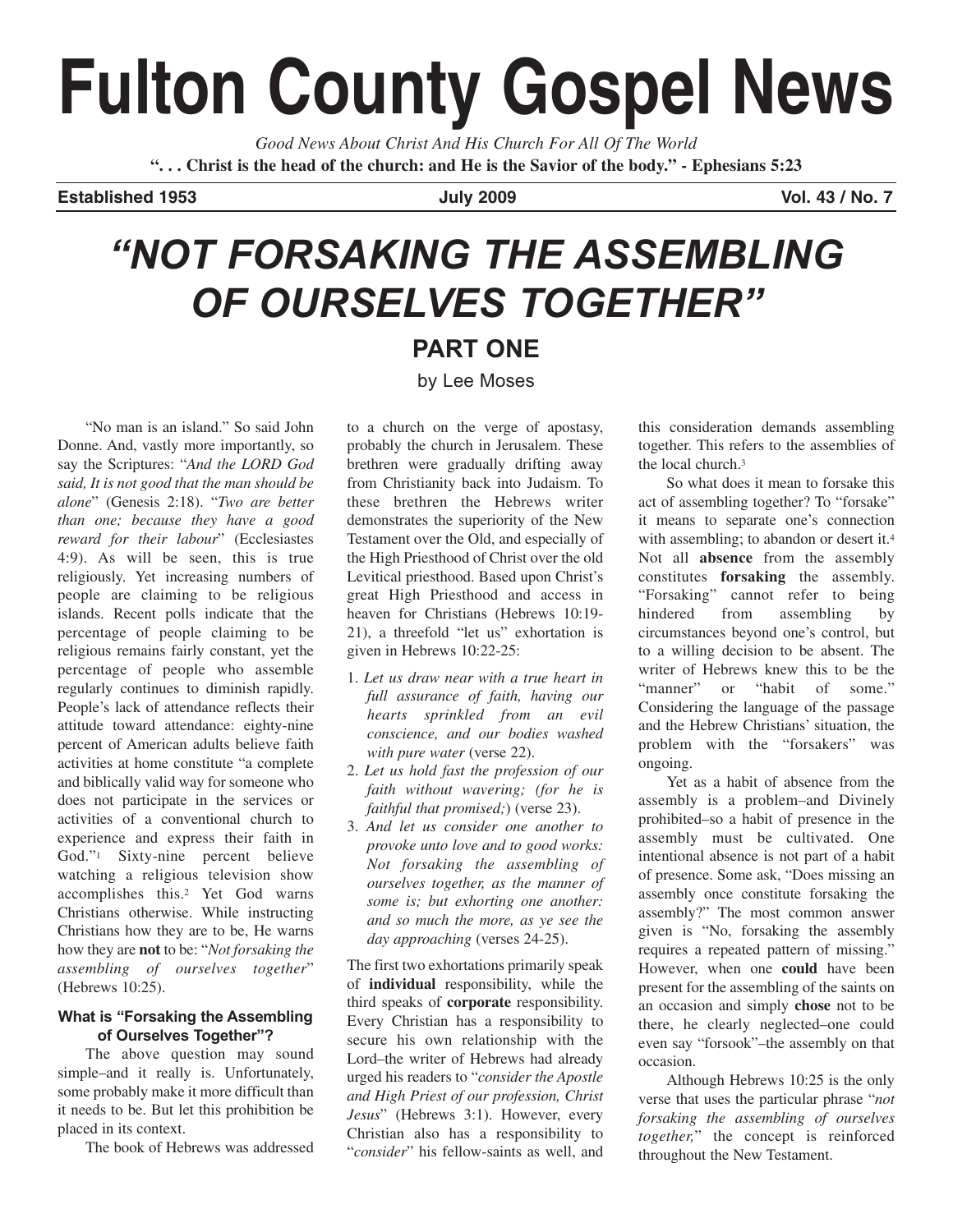# **Fulton County Gospel News**

*Good News About Christ And His Church For All Of The World* **". . . Christ is the head of the church: and He is the Savior of the body." - Ephesians 5:23**

**Established 1953 July 2009 Vol. 43 / No. 7** 

# *"NOT FORSAKING THE ASSEMBLING OF OURSELVES TOGETHER"*

### **PART ONE**

by Lee Moses

"No man is an island." So said John Donne. And, vastly more importantly, so say the Scriptures: "*And the LORD God said, It is not good that the man should be alone*" (Genesis 2:18). "*Two are better than one; because they have a good reward for their labour*" (Ecclesiastes 4:9). As will be seen, this is true religiously. Yet increasing numbers of people are claiming to be religious islands. Recent polls indicate that the percentage of people claiming to be religious remains fairly constant, yet the percentage of people who assemble regularly continues to diminish rapidly. People's lack of attendance reflects their attitude toward attendance: eighty-nine percent of American adults believe faith activities at home constitute "a complete and biblically valid way for someone who does not participate in the services or activities of a conventional church to experience and express their faith in God."1 Sixty-nine percent believe watching a religious television show accomplishes this.2 Yet God warns Christians otherwise. While instructing Christians how they are to be, He warns how they are **not** to be: "*Not forsaking the assembling of ourselves together*" (Hebrews 10:25).

#### **What is "Forsaking the Assembling of Ourselves Together"?**

The above question may sound simple–and it really is. Unfortunately, some probably make it more difficult than it needs to be. But let this prohibition be placed in its context.

The book of Hebrews was addressed

to a church on the verge of apostasy, probably the church in Jerusalem. These brethren were gradually drifting away from Christianity back into Judaism. To these brethren the Hebrews writer demonstrates the superiority of the New Testament over the Old, and especially of the High Priesthood of Christ over the old Levitical priesthood. Based upon Christ's great High Priesthood and access in heaven for Christians (Hebrews 10:19- 21), a threefold "let us" exhortation is given in Hebrews 10:22-25:

- 1. *Let us draw near with a true heart in full assurance of faith, having our hearts sprinkled from an evil conscience, and our bodies washed with pure water* (verse 22).
- 2. *Let us hold fast the profession of our faith without wavering; (for he is faithful that promised;*) (verse 23).
- 3. *And let us consider one another to provoke unto love and to good works: Not forsaking the assembling of ourselves together, as the manner of some is; but exhorting one another: and so much the more, as ye see the day approaching* (verses 24-25).

The first two exhortations primarily speak of **individual** responsibility, while the third speaks of **corporate** responsibility. Every Christian has a responsibility to secure his own relationship with the Lord–the writer of Hebrews had already urged his readers to "*consider the Apostle and High Priest of our profession, Christ Jesus*" (Hebrews 3:1). However, every Christian also has a responsibility to "*consider*" his fellow-saints as well, and

this consideration demands assembling together. This refers to the assemblies of the local church.3

So what does it mean to forsake this act of assembling together? To "forsake" it means to separate one's connection with assembling; to abandon or desert it.<sup>4</sup> Not all **absence** from the assembly constitutes **forsaking** the assembly. "Forsaking" cannot refer to being hindered from assembling by circumstances beyond one's control, but to a willing decision to be absent. The writer of Hebrews knew this to be the "manner" or "habit of some." Considering the language of the passage and the Hebrew Christians' situation, the problem with the "forsakers" was ongoing.

Yet as a habit of absence from the assembly is a problem–and Divinely prohibited–so a habit of presence in the assembly must be cultivated. One intentional absence is not part of a habit of presence. Some ask, "Does missing an assembly once constitute forsaking the assembly?" The most common answer given is "No, forsaking the assembly requires a repeated pattern of missing." However, when one **could** have been present for the assembling of the saints on an occasion and simply **chose** not to be there, he clearly neglected–one could even say "forsook"–the assembly on that occasion.

Although Hebrews 10:25 is the only verse that uses the particular phrase "*not forsaking the assembling of ourselves together,*" the concept is reinforced throughout the New Testament.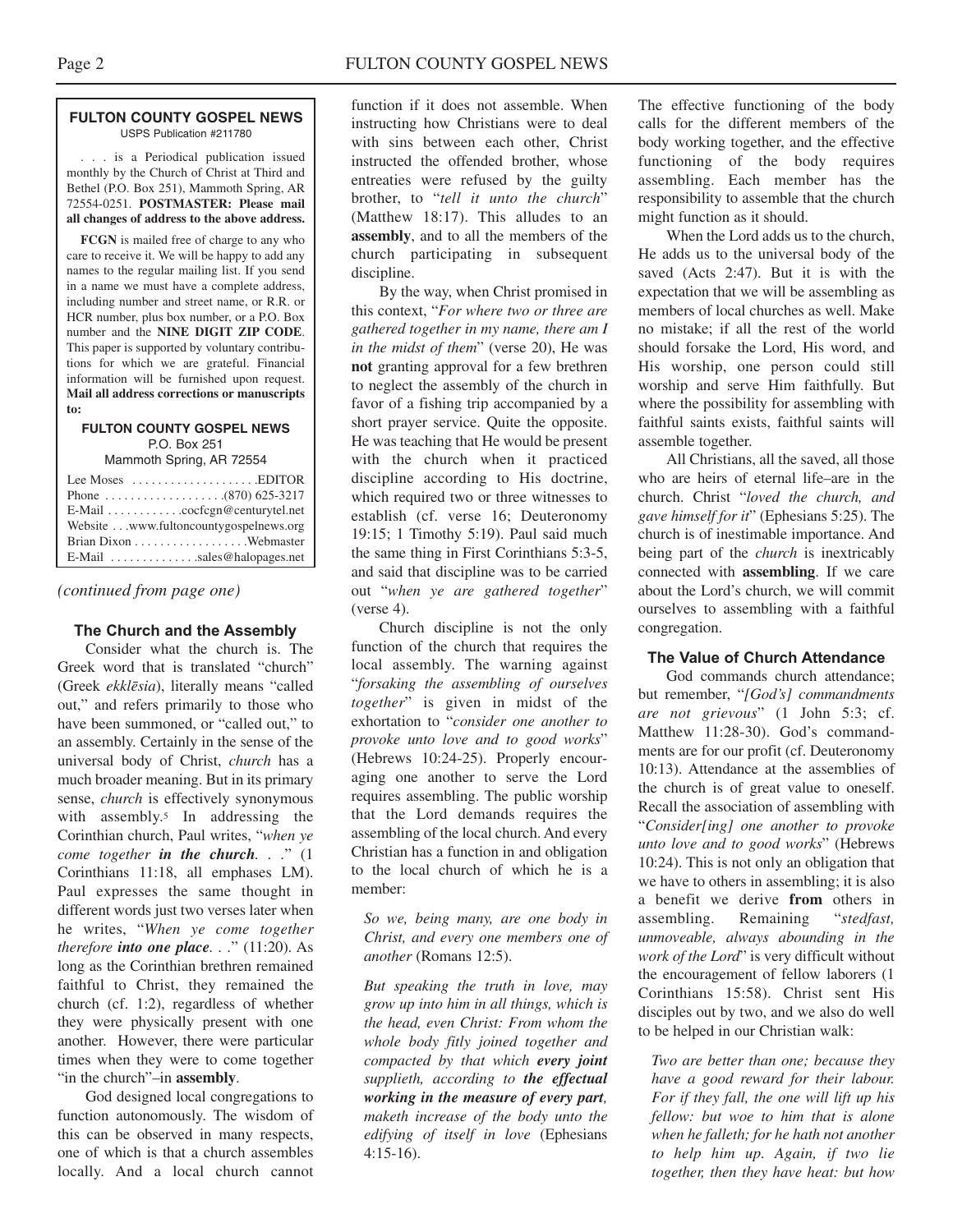#### **FULTON COUNTY GOSPEL NEWS** USPS Publication #211780

. . . is a Periodical publication issued monthly by the Church of Christ at Third and Bethel (P.O. Box 251), Mammoth Spring, AR 72554-0251. **POSTMASTER: Please mail all changes of address to the above address.**

**FCGN** is mailed free of charge to any who care to receive it. We will be happy to add any names to the regular mailing list. If you send in a name we must have a complete address, including number and street name, or R.R. or HCR number, plus box number, or a P.O. Box number and the **NINE DIGIT ZIP CODE**. This paper is supported by voluntary contributions for which we are grateful. Financial information will be furnished upon request. **Mail all address corrections or manuscripts to:**

#### **FULTON COUNTY GOSPEL NEWS** P.O. Box 251

Mammoth Spring, AR 72554

| Lee Moses $\dots \dots \dots \dots \dots$ . EDITOR    |  |
|-------------------------------------------------------|--|
|                                                       |  |
| E-Mail cocfcgn@centurytel.net                         |  |
| Website www.fultoncountygospelnews.org                |  |
|                                                       |  |
| E-Mail $\dots \dots \dots \dots$ sales @halopages.net |  |

*(continued from page one)*

#### **The Church and the Assembly**

Consider what the church is. The Greek word that is translated "church" (Greek *ekklesia*), literally means "called out," and refers primarily to those who have been summoned, or "called out," to an assembly. Certainly in the sense of the universal body of Christ, *church* has a much broader meaning. But in its primary sense, *church* is effectively synonymous with assembly.<sup>5</sup> In addressing the Corinthian church, Paul writes, "*when ye come together in the church. . .*" (1 Corinthians 11:18, all emphases LM). Paul expresses the same thought in different words just two verses later when he writes, "*When ye come together therefore into one place. . .*" (11:20). As long as the Corinthian brethren remained faithful to Christ, they remained the church (cf. 1:2), regardless of whether they were physically present with one another. However, there were particular times when they were to come together "in the church"–in **assembly**.

God designed local congregations to function autonomously. The wisdom of this can be observed in many respects, one of which is that a church assembles locally. And a local church cannot function if it does not assemble. When instructing how Christians were to deal with sins between each other, Christ instructed the offended brother, whose entreaties were refused by the guilty brother, to "*tell it unto the church*" (Matthew 18:17). This alludes to an **assembly**, and to all the members of the church participating in subsequent discipline.

By the way, when Christ promised in this context, "*For where two or three are gathered together in my name, there am I in the midst of them*" (verse 20), He was **not** granting approval for a few brethren to neglect the assembly of the church in favor of a fishing trip accompanied by a short prayer service. Quite the opposite. He was teaching that He would be present with the church when it practiced discipline according to His doctrine, which required two or three witnesses to establish (cf. verse 16; Deuteronomy 19:15; 1 Timothy 5:19). Paul said much the same thing in First Corinthians 5:3-5, and said that discipline was to be carried out "*when ye are gathered together*" (verse 4).

Church discipline is not the only function of the church that requires the local assembly. The warning against "*forsaking the assembling of ourselves together*" is given in midst of the exhortation to "*consider one another to provoke unto love and to good works*" (Hebrews 10:24-25). Properly encouraging one another to serve the Lord requires assembling. The public worship that the Lord demands requires the assembling of the local church. And every Christian has a function in and obligation to the local church of which he is a member:

*So we, being many, are one body in Christ, and every one members one of another* (Romans 12:5).

*But speaking the truth in love, may grow up into him in all things, which is the head, even Christ: From whom the whole body fitly joined together and compacted by that which every joint supplieth, according to the effectual working in the measure of every part, maketh increase of the body unto the edifying of itself in love* (Ephesians 4:15-16).

The effective functioning of the body calls for the different members of the body working together, and the effective functioning of the body requires assembling. Each member has the responsibility to assemble that the church might function as it should.

When the Lord adds us to the church He adds us to the universal body of the saved (Acts 2:47). But it is with the expectation that we will be assembling as members of local churches as well. Make no mistake; if all the rest of the world should forsake the Lord, His word, and His worship, one person could still worship and serve Him faithfully. But where the possibility for assembling with faithful saints exists, faithful saints will assemble together.

All Christians, all the saved, all those who are heirs of eternal life–are in the church. Christ "*loved the church, and gave himself for it*" (Ephesians 5:25). The church is of inestimable importance. And being part of the *church* is inextricably connected with **assembling**. If we care about the Lord's church, we will commit ourselves to assembling with a faithful congregation.

#### **The Value of Church Attendance**

God commands church attendance; but remember, "*[God's] commandments are not grievous*" (1 John 5:3; cf. Matthew 11:28-30). God's commandments are for our profit (cf. Deuteronomy 10:13). Attendance at the assemblies of the church is of great value to oneself. Recall the association of assembling with "*Consider[ing] one another to provoke unto love and to good works*" (Hebrews 10:24). This is not only an obligation that we have to others in assembling; it is also a benefit we derive **from** others in assembling. Remaining "*stedfast, unmoveable, always abounding in the work of the Lord*" is very difficult without the encouragement of fellow laborers (1 Corinthians 15:58). Christ sent His disciples out by two, and we also do well to be helped in our Christian walk:

*Two are better than one; because they have a good reward for their labour. For if they fall, the one will lift up his fellow: but woe to him that is alone when he falleth; for he hath not another to help him up. Again, if two lie together, then they have heat: but how*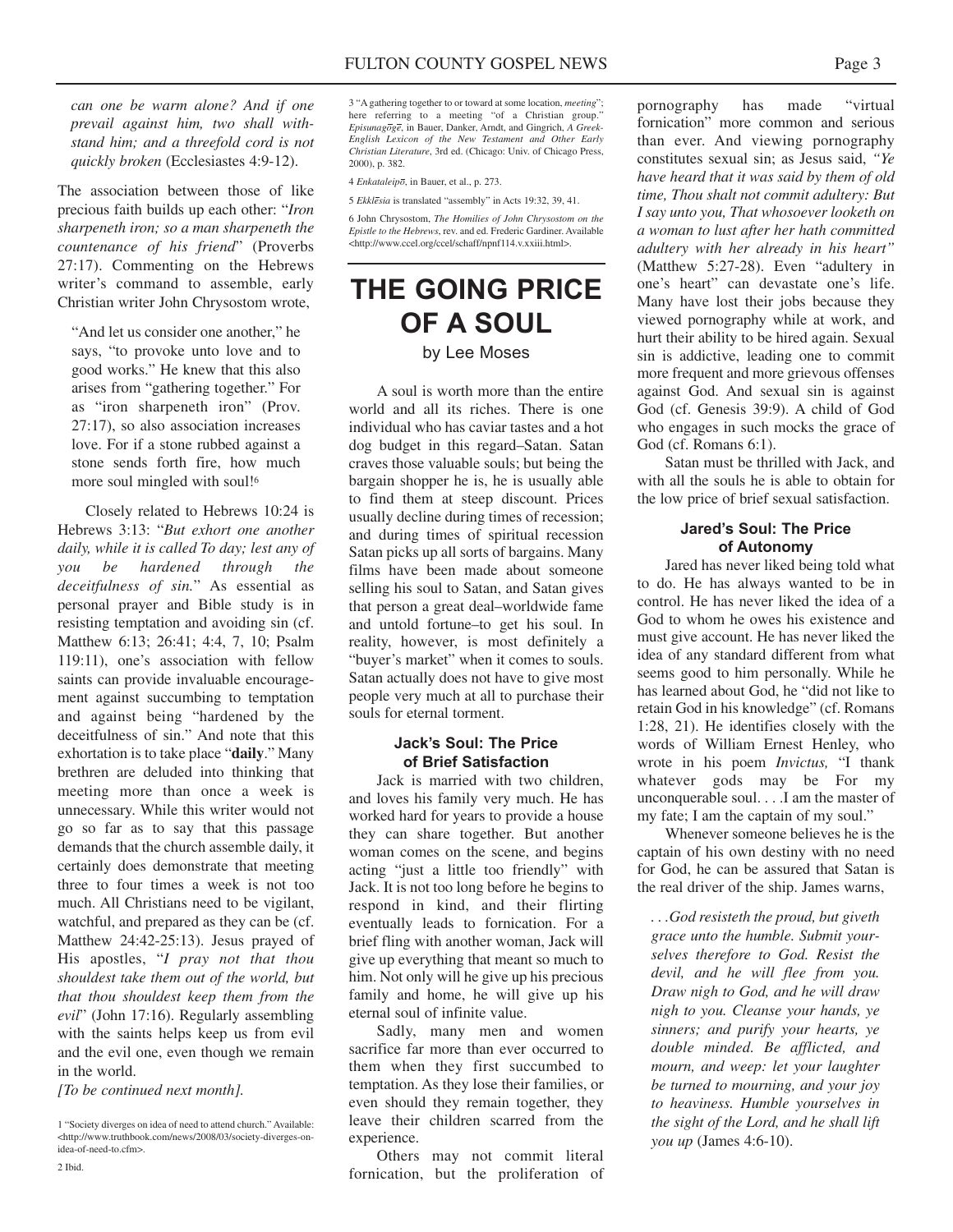*can one be warm alone? And if one prevail against him, two shall withstand him; and a threefold cord is not quickly broken* (Ecclesiastes 4:9-12).

The association between those of like precious faith builds up each other: "*Iron sharpeneth iron; so a man sharpeneth the countenance of his friend*" (Proverbs 27:17). Commenting on the Hebrews writer's command to assemble, early Christian writer John Chrysostom wrote,

"And let us consider one another," he says, "to provoke unto love and to good works." He knew that this also arises from "gathering together." For as "iron sharpeneth iron" (Prov. 27:17), so also association increases love. For if a stone rubbed against a stone sends forth fire, how much more soul mingled with soul!<sup>6</sup>

Closely related to Hebrews 10:24 is Hebrews 3:13: "*But exhort one another daily, while it is called To day; lest any of you be hardened through the deceitfulness of sin.*" As essential as personal prayer and Bible study is in resisting temptation and avoiding sin (cf. Matthew 6:13; 26:41; 4:4, 7, 10; Psalm 119:11), one's association with fellow saints can provide invaluable encouragement against succumbing to temptation and against being "hardened by the deceitfulness of sin." And note that this exhortation is to take place "**daily**." Many brethren are deluded into thinking that meeting more than once a week is unnecessary. While this writer would not go so far as to say that this passage demands that the church assemble daily, it certainly does demonstrate that meeting three to four times a week is not too much. All Christians need to be vigilant, watchful, and prepared as they can be (cf. Matthew 24:42-25:13). Jesus prayed of His apostles, "*I pray not that thou shouldest take them out of the world, but that thou shouldest keep them from the evil*" (John 17:16). Regularly assembling with the saints helps keep us from evil and the evil one, even though we remain in the world.

*[To be continued next month].*

3 "A gathering together to or toward at some location, *meeting*"; here referring to a meeting "of a Christian group." *Episunagoge*, in Bauer, Danker, Arndt, and Gingrich, *A Greek-English Lexicon of the New Testament and Other Early Christian Literature*, 3rd ed. (Chicago: Univ. of Chicago Press, 2000), p. 382.

4 *Enkataleipo*, in Bauer, et al., p. 273.

5 *Ekklesia* is translated "assembly" in Acts 19:32, 39, 41.

6 John Chrysostom, *The Homilies of John Chrysostom on the Epistle to the Hebrews*, rev. and ed. Frederic Gardiner. Available <http://www.ccel.org/ccel/schaff/npnf114.v.xxiii.html>.

## **THE GOING PRICE OF A SOUL**

#### by Lee Moses

A soul is worth more than the entire world and all its riches. There is one individual who has caviar tastes and a hot dog budget in this regard–Satan. Satan craves those valuable souls; but being the bargain shopper he is, he is usually able to find them at steep discount. Prices usually decline during times of recession; and during times of spiritual recession Satan picks up all sorts of bargains. Many films have been made about someone selling his soul to Satan, and Satan gives that person a great deal–worldwide fame and untold fortune–to get his soul. In reality, however, is most definitely a "buyer's market" when it comes to souls. Satan actually does not have to give most people very much at all to purchase their souls for eternal torment.

#### **Jack's Soul: The Price of Brief Satisfaction**

Jack is married with two children, and loves his family very much. He has worked hard for years to provide a house they can share together. But another woman comes on the scene, and begins acting "just a little too friendly" with Jack. It is not too long before he begins to respond in kind, and their flirting eventually leads to fornication. For a brief fling with another woman, Jack will give up everything that meant so much to him. Not only will he give up his precious family and home, he will give up his eternal soul of infinite value.

Sadly, many men and women sacrifice far more than ever occurred to them when they first succumbed to temptation. As they lose their families, or even should they remain together, they leave their children scarred from the experience.

Others may not commit literal fornication, but the proliferation of

pornography has made "virtual fornication" more common and serious than ever. And viewing pornography constitutes sexual sin; as Jesus said, *"Ye have heard that it was said by them of old time, Thou shalt not commit adultery: But I say unto you, That whosoever looketh on a woman to lust after her hath committed adultery with her already in his heart"* (Matthew 5:27-28). Even "adultery in one's heart" can devastate one's life. Many have lost their jobs because they viewed pornography while at work, and hurt their ability to be hired again. Sexual sin is addictive, leading one to commit more frequent and more grievous offenses against God. And sexual sin is against God (cf. Genesis 39:9). A child of God who engages in such mocks the grace of God (cf. Romans 6:1).

Satan must be thrilled with Jack, and with all the souls he is able to obtain for the low price of brief sexual satisfaction.

#### **Jared's Soul: The Price of Autonomy**

Jared has never liked being told what to do. He has always wanted to be in control. He has never liked the idea of a God to whom he owes his existence and must give account. He has never liked the idea of any standard different from what seems good to him personally. While he has learned about God, he "did not like to retain God in his knowledge" (cf. Romans 1:28, 21). He identifies closely with the words of William Ernest Henley, who wrote in his poem *Invictus,* "I thank whatever gods may be For my unconquerable soul. . . .I am the master of my fate; I am the captain of my soul."

Whenever someone believes he is the captain of his own destiny with no need for God, he can be assured that Satan is the real driver of the ship. James warns,

*. . .God resisteth the proud, but giveth grace unto the humble. Submit yourselves therefore to God. Resist the devil, and he will flee from you. Draw nigh to God, and he will draw nigh to you. Cleanse your hands, ye sinners; and purify your hearts, ye double minded. Be afflicted, and mourn, and weep: let your laughter be turned to mourning, and your joy to heaviness. Humble yourselves in the sight of the Lord, and he shall lift you up* (James 4:6-10).

<sup>1 &</sup>quot;Society diverges on idea of need to attend church." Available: <http://www.truthbook.com/news/2008/03/society-diverges-onidea-of-need-to.cfm>.